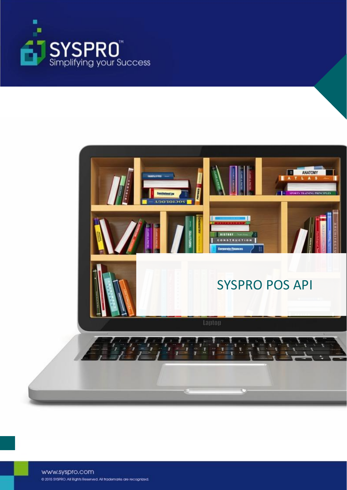



www.syspro.com @ 2015 SYSPRO. All Rights Reserved. All trademarks are recognized.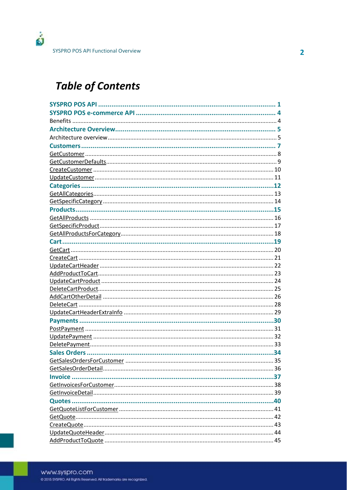## **Table of Contents**

| GetSalesOrdersForCustomer. | 35 |
|----------------------------|----|
|                            |    |
|                            |    |
|                            |    |
|                            |    |
|                            |    |
|                            |    |
|                            |    |
|                            |    |
|                            |    |
|                            |    |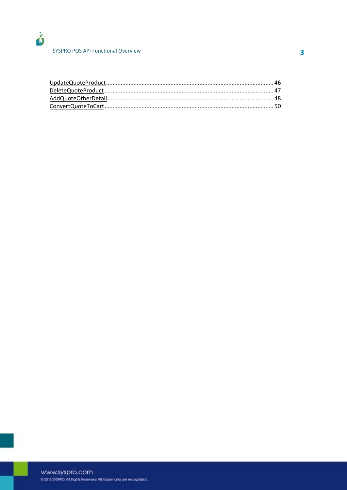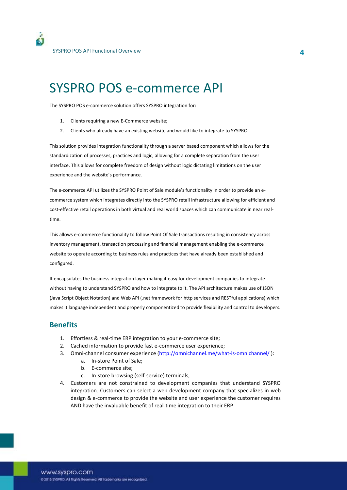## SYSPRO POS e-commerce API

The SYSPRO POS e-commerce solution offers SYSPRO integration for:

- 1. Clients requiring a new E-Commerce website;
- 2. Clients who already have an existing website and would like to integrate to SYSPRO.

This solution provides integration functionality through a server based component which allows for the standardization of processes, practices and logic, allowing for a complete separation from the user interface. This allows for complete freedom of design without logic dictating limitations on the user experience and the website's performance.

The e-commerce API utilizes the SYSPRO Point of Sale module's functionality in order to provide an ecommerce system which integrates directly into the SYSPRO retail infrastructure allowing for efficient and cost-effective retail operations in both virtual and real world spaces which can communicate in near realtime.

This allows e-commerce functionality to follow Point Of Sale transactions resulting in consistency across inventory management, transaction processing and financial management enabling the e-commerce website to operate according to business rules and practices that have already been established and configured.

It encapsulates the business integration layer making it easy for development companies to integrate without having to understand SYSPRO and how to integrate to it. The API architecture makes use of JSON (Java Script Object Notation) and Web API (.net framework for http services and RESTful applications) which makes it language independent and properly componentized to provide flexibility and control to developers.

#### **Benefits**

- 1. Effortless & real-time ERP integration to your e-commerce site;
- 2. Cached information to provide fast e-commerce user experience;
- 3. Omni-channel consumer experience [\(http://omnichannel.me/what-is-omnichannel/](http://omnichannel.me/what-is-omnichannel/) ):
	- a. In-store Point of Sale;
	- b. E-commerce site;
	- c. In-store browsing (self-service) terminals;
- 4. Customers are not constrained to development companies that understand SYSPRO integration. Customers can select a web development company that specializes in web design & e-commerce to provide the website and user experience the customer requires AND have the invaluable benefit of real-time integration to their ERP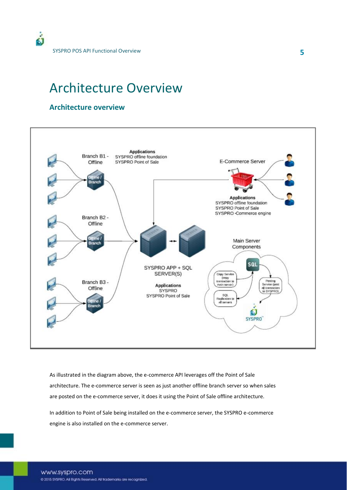## Architecture Overview

#### **Architecture overview**



As illustrated in the diagram above, the e-commerce API leverages off the Point of Sale architecture. The e-commerce server is seen as just another offline branch server so when sales are posted on the e-commerce server, it does it using the Point of Sale offline architecture.

In addition to Point of Sale being installed on the e-commerce server, the SYSPRO e-commerce engine is also installed on the e-commerce server.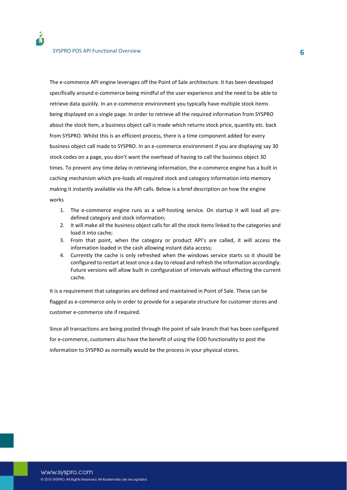The e-commerce API engine leverages off the Point of Sale architecture. It has been developed specifically around e-commerce being mindful of the user experience and the need to be able to retrieve data quickly. In an e-commerce environment you typically have multiple stock items being displayed on a single page. In order to retrieve all the required information from SYSPRO about the stock item, a business object call is made which returns stock price, quantity etc. back from SYSPRO. Whilst this is an efficient process, there is a time component added for every business object call made to SYSPRO. In an e-commerce environment if you are displaying say 30 stock codes on a page, you don't want the overhead of having to call the business object 30 times. To prevent any time delay in retrieving information, the e-commerce engine has a built in caching mechanism which pre-loads all required stock and category information into memory making it instantly available via the API calls. Below is a brief description on how the engine works

- 1. The e-commerce engine runs as a self-hosting service. On startup it will load all predefined category and stock information;
- 2. It will make all the business object calls for all the stock items linked to the categories and load it into cache;
- 3. From that point, when the category or product API's are called, it will access the information loaded in the cash allowing instant data access;
- 4. Currently the cache is only refreshed when the windows service starts so it should be configured to restart at least once a day to reload and refresh the information accordingly. Future versions will allow built in configuration of intervals without effecting the current cache.

It is a requirement that categories are defined and maintained in Point of Sale. These can be flagged as e-commerce only in order to provide for a separate structure for customer stores and customer e-commerce site if required.

Since all transactions are being posted through the point of sale branch that has been configured for e-commerce, customers also have the benefit of using the EOD functionality to post the information to SYSPRO as normally would be the process in your physical stores.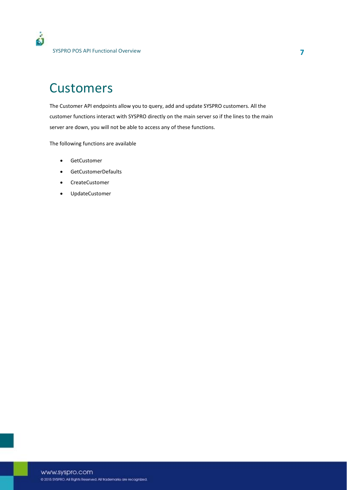## **Customers**

The Customer API endpoints allow you to query, add and update SYSPRO customers. All the customer functions interact with SYSPRO directly on the main server so if the lines to the main server are down, you will not be able to access any of these functions.

The following functions are available

- **•** GetCustomer
- **•** GetCustomerDefaults
- CreateCustomer
- UpdateCustomer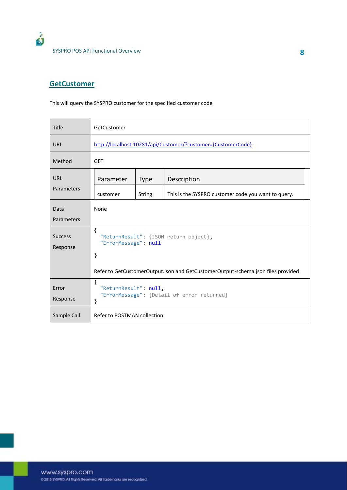

### **GetCustomer**

This will query the SYSPRO customer for the specified customer code

| <b>Title</b>               | GetCustomer                                                                      |             |                                                     |  |
|----------------------------|----------------------------------------------------------------------------------|-------------|-----------------------------------------------------|--|
| <b>URL</b>                 | http://localhost:10281/api/Customer/?customer={CustomerCode}                     |             |                                                     |  |
| Method                     | <b>GET</b>                                                                       |             |                                                     |  |
| <b>URL</b>                 | Parameter                                                                        | <b>Type</b> | Description                                         |  |
| Parameters                 | customer                                                                         | String      | This is the SYSPRO customer code you want to query. |  |
| Data<br>Parameters         | None                                                                             |             |                                                     |  |
| <b>Success</b><br>Response | $\{$<br>"ReturnResult": {JSON return object},<br>"ErrorMessage": null<br>}       |             |                                                     |  |
|                            | Refer to GetCustomerOutput.json and GetCustomerOutput-schema.json files provided |             |                                                     |  |
| Error<br>Response          | {<br>"ReturnResult": null,<br>"ErrorMessage": {Detail of error returned}<br>}    |             |                                                     |  |
| Sample Call                | Refer to POSTMAN collection                                                      |             |                                                     |  |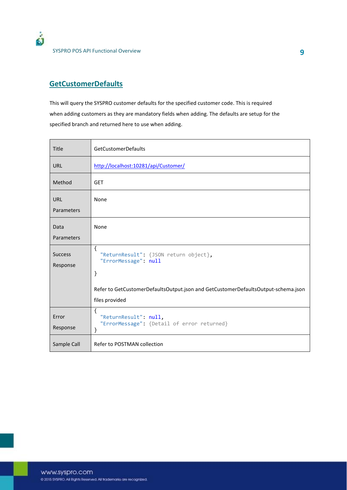

SYSPRO POS API Functional Overview **9** 

#### **GetCustomerDefaults**

This will query the SYSPRO customer defaults for the specified customer code. This is required when adding customers as they are mandatory fields when adding. The defaults are setup for the specified branch and returned here to use when adding.

| Title                      | <b>GetCustomerDefaults</b>                                                                          |
|----------------------------|-----------------------------------------------------------------------------------------------------|
| <b>URL</b>                 | http://localhost:10281/api/Customer/                                                                |
| Method                     | <b>GET</b>                                                                                          |
| <b>URL</b><br>Parameters   | None                                                                                                |
| Data<br>Parameters         | None                                                                                                |
| <b>Success</b><br>Response | €<br>"ReturnResult": {JSON return object},<br>"ErrorMessage": null<br>}                             |
|                            | Refer to GetCustomerDefaultsOutput.json and GetCustomerDefaultsOutput-schema.json<br>files provided |
| Error<br>Response          | €<br>"ReturnResult": null,<br>"ErrorMessage": {Detail of error returned}<br>}                       |
| Sample Call                | Refer to POSTMAN collection                                                                         |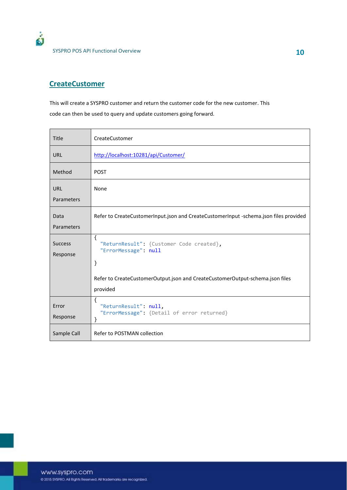#### **CreateCustomer**

ó

This will create a SYSPRO customer and return the customer code for the new customer. This code can then be used to query and update customers going forward.

| Title                      | CreateCustomer                                                                                                                                                             |
|----------------------------|----------------------------------------------------------------------------------------------------------------------------------------------------------------------------|
| <b>URL</b>                 | http://localhost:10281/api/Customer/                                                                                                                                       |
| Method                     | <b>POST</b>                                                                                                                                                                |
| <b>URL</b><br>Parameters   | None                                                                                                                                                                       |
| Data<br>Parameters         | Refer to CreateCustomerInput.json and CreateCustomerInput -schema.json files provided                                                                                      |
| <b>Success</b><br>Response | $\{$<br>"ReturnResult": {Customer Code created},<br>"ErrorMessage": null<br>}<br>Refer to CreateCustomerOutput.json and CreateCustomerOutput-schema.json files<br>provided |
| Error<br>Response          | $\{$<br>"ReturnResult": null,<br>"ErrorMessage": {Detail of error returned}<br>}                                                                                           |
| Sample Call                | Refer to POSTMAN collection                                                                                                                                                |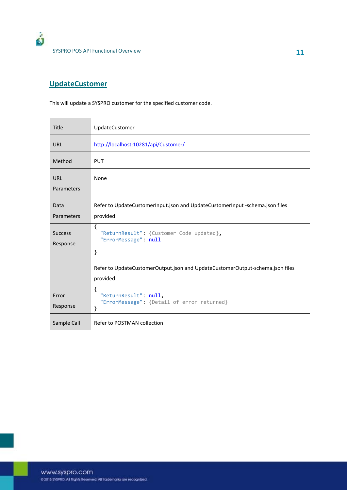

### **UpdateCustomer**

This will update a SYSPRO customer for the specified customer code.

| Title                      | UpdateCustomer                                                                            |
|----------------------------|-------------------------------------------------------------------------------------------|
| <b>URL</b>                 | http://localhost:10281/api/Customer/                                                      |
| Method                     | <b>PUT</b>                                                                                |
| <b>URL</b><br>Parameters   | None                                                                                      |
| Data<br>Parameters         | Refer to UpdateCustomerInput.json and UpdateCustomerInput -schema.json files<br>provided  |
| <b>Success</b><br>Response | €<br>"ReturnResult": {Customer Code updated},<br>"ErrorMessage": null<br>}                |
|                            | Refer to UpdateCustomerOutput.json and UpdateCustomerOutput-schema.json files<br>provided |
| Error<br>Response          | ₹<br>"ReturnResult": null,<br>"ErrorMessage": {Detail of error returned}<br>}             |
| Sample Call                | Refer to POSTMAN collection                                                               |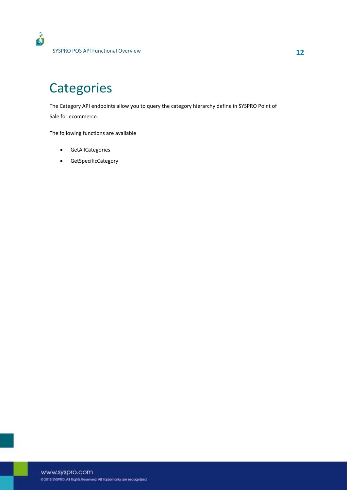## **Categories**

The Category API endpoints allow you to query the category hierarchy define in SYSPRO Point of Sale for ecommerce.

The following functions are available

- **•** GetAllCategories
- GetSpecificCategory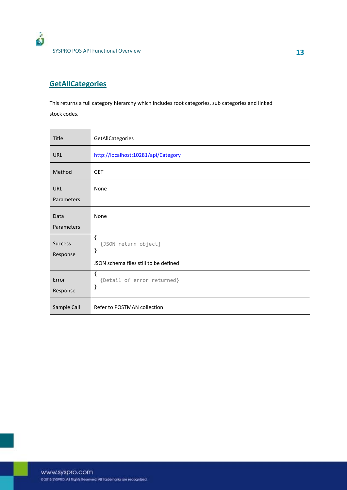### **GetAllCategories**

ó

This returns a full category hierarchy which includes root categories, sub categories and linked stock codes.

| Title                      | GetAllCategories                                                                                  |
|----------------------------|---------------------------------------------------------------------------------------------------|
| URL                        | http://localhost:10281/api/Category                                                               |
| Method                     | <b>GET</b>                                                                                        |
| <b>URL</b><br>Parameters   | None                                                                                              |
| Data<br>Parameters         | None                                                                                              |
| <b>Success</b><br>Response | $\mathcal{L}_{\mathcal{L}}$<br>{JSON return object}<br>}<br>JSON schema files still to be defined |
| Error<br>Response          | $\{$<br>{Detail of error returned}<br>}                                                           |
| Sample Call                | Refer to POSTMAN collection                                                                       |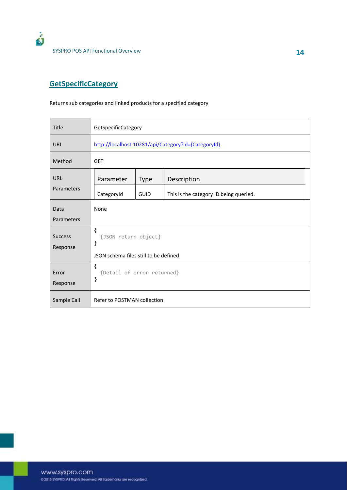

### **GetSpecificCategory**

#### Returns sub categories and linked products for a specified category

| <b>Title</b>               | GetSpecificCategory                                 |             |                                        |  |  |
|----------------------------|-----------------------------------------------------|-------------|----------------------------------------|--|--|
| <b>URL</b>                 | http://localhost:10281/api/Category?id={CategoryId} |             |                                        |  |  |
| Method                     | <b>GET</b>                                          |             |                                        |  |  |
| <b>URL</b>                 | Parameter                                           | <b>Type</b> | Description                            |  |  |
| Parameters                 | CategoryId                                          | <b>GUID</b> | This is the category ID being queried. |  |  |
| Data                       | None                                                |             |                                        |  |  |
| Parameters                 |                                                     |             |                                        |  |  |
| <b>Success</b><br>Response | $\mathcal{L}$<br>{JSON return object}<br>}          |             |                                        |  |  |
|                            | JSON schema files still to be defined               |             |                                        |  |  |
| Error<br>Response          | €<br>{Detail of error returned}<br>}                |             |                                        |  |  |
| Sample Call                | Refer to POSTMAN collection                         |             |                                        |  |  |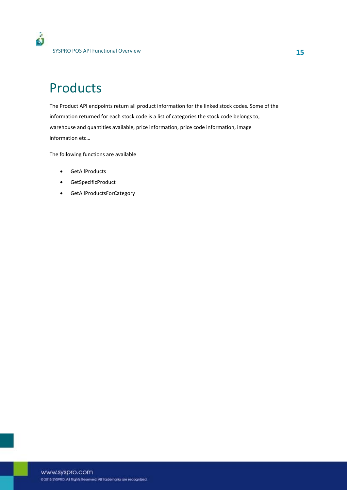## Products

The Product API endpoints return all product information for the linked stock codes. Some of the information returned for each stock code is a list of categories the stock code belongs to, warehouse and quantities available, price information, price code information, image information etc…

The following functions are available

- GetAllProducts
- **•** GetSpecificProduct
- **•** GetAllProductsForCategory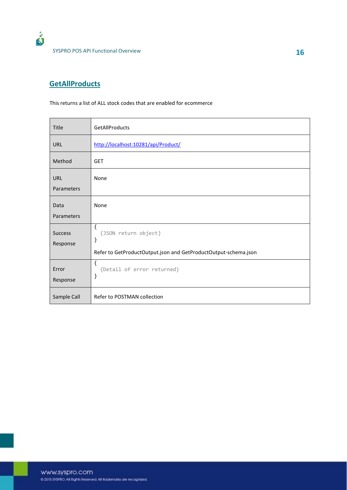

### **GetAllProducts**

This returns a list of ALL stock codes that are enabled for ecommerce

| Title                      | GetAllProducts                                                                                       |
|----------------------------|------------------------------------------------------------------------------------------------------|
| <b>URL</b>                 | http://localhost:10281/api/Product/                                                                  |
| Method                     | <b>GET</b>                                                                                           |
| <b>URL</b><br>Parameters   | None                                                                                                 |
| Data<br>Parameters         | None                                                                                                 |
| <b>Success</b><br>Response | $\{$<br>{JSON return object}<br>}<br>Refer to GetProductOutput.json and GetProductOutput-schema.json |
| Error<br>Response          | $\{$<br>{Detail of error returned}<br>}                                                              |
| Sample Call                | Refer to POSTMAN collection                                                                          |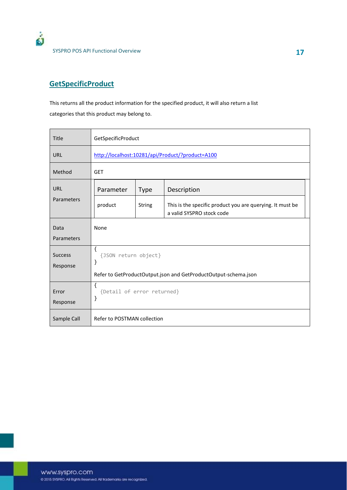

#### **GetSpecificProduct**

This returns all the product information for the specified product, it will also return a list categories that this product may belong to.

| Title                      | GetSpecificProduct                                              |               |                                                                                        |  |
|----------------------------|-----------------------------------------------------------------|---------------|----------------------------------------------------------------------------------------|--|
| <b>URL</b>                 | http://localhost:10281/api/Product/?product=A100                |               |                                                                                        |  |
| Method                     | <b>GET</b>                                                      |               |                                                                                        |  |
| URL                        | Parameter                                                       | <b>Type</b>   | Description                                                                            |  |
| Parameters                 | product                                                         | <b>String</b> | This is the specific product you are querying. It must be<br>a valid SYSPRO stock code |  |
| Data                       | None                                                            |               |                                                                                        |  |
| Parameters                 |                                                                 |               |                                                                                        |  |
| <b>Success</b><br>Response | {<br>{JSON return object}<br>}                                  |               |                                                                                        |  |
|                            | Refer to GetProductOutput.json and GetProductOutput-schema.json |               |                                                                                        |  |
| Error<br>Response          | ſ<br>{Detail of error returned}<br>}                            |               |                                                                                        |  |
| Sample Call                | Refer to POSTMAN collection                                     |               |                                                                                        |  |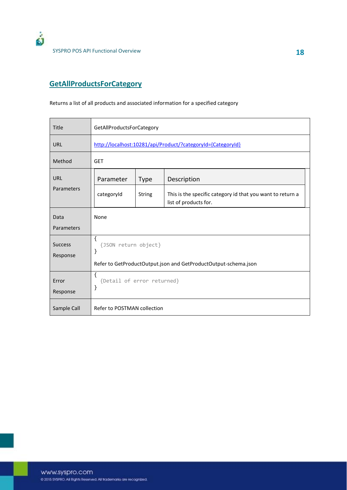

#### **GetAllProductsForCategory**

#### Returns a list of all products and associated information for a specified category

| <b>Title</b>               | GetAllProductsForCategory                                       |               |                                                                                     |  |
|----------------------------|-----------------------------------------------------------------|---------------|-------------------------------------------------------------------------------------|--|
| <b>URL</b>                 | http://localhost:10281/api/Product/?categoryId={CategoryId}     |               |                                                                                     |  |
| Method                     | <b>GET</b>                                                      |               |                                                                                     |  |
| URL                        | Parameter                                                       | <b>Type</b>   | Description                                                                         |  |
| Parameters                 | categoryId                                                      | <b>String</b> | This is the specific category id that you want to return a<br>list of products for. |  |
| Data                       | None                                                            |               |                                                                                     |  |
| Parameters                 |                                                                 |               |                                                                                     |  |
| <b>Success</b><br>Response | ſ<br>{JSON return object}<br>}                                  |               |                                                                                     |  |
|                            | Refer to GetProductOutput.json and GetProductOutput-schema.json |               |                                                                                     |  |
| Error<br>Response          | $\{$<br>{Detail of error returned}<br>}                         |               |                                                                                     |  |
| Sample Call                | Refer to POSTMAN collection                                     |               |                                                                                     |  |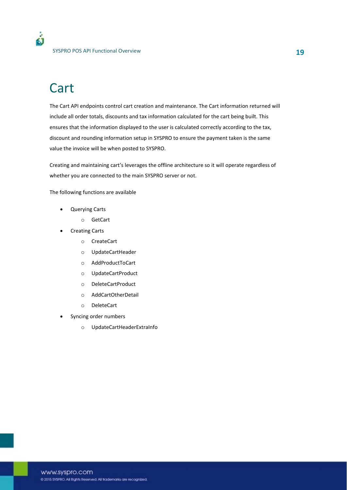## **Cart**

The Cart API endpoints control cart creation and maintenance. The Cart information returned will include all order totals, discounts and tax information calculated for the cart being built. This ensures that the information displayed to the user is calculated correctly according to the tax, discount and rounding information setup in SYSPRO to ensure the payment taken is the same value the invoice will be when posted to SYSPRO.

Creating and maintaining cart's leverages the offline architecture so it will operate regardless of whether you are connected to the main SYSPRO server or not.

The following functions are available

- Querying Carts
	- o GetCart
- **Creating Carts** 
	- o CreateCart
	- o UpdateCartHeader
	- o AddProductToCart
	- o UpdateCartProduct
	- o DeleteCartProduct
	- o AddCartOtherDetail
	- o DeleteCart
- Syncing order numbers
	- o UpdateCartHeaderExtraInfo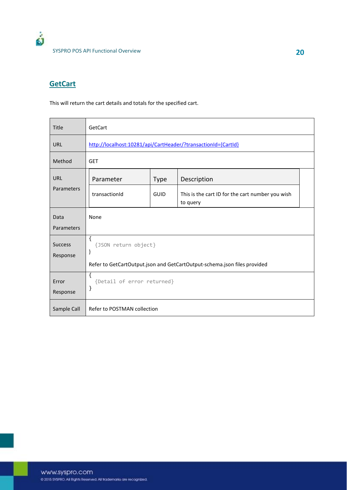

#### **GetCart**

This will return the cart details and totals for the specified cart.

| Title                      | GetCart                                                                  |             |                                                              |  |
|----------------------------|--------------------------------------------------------------------------|-------------|--------------------------------------------------------------|--|
| <b>URL</b>                 | http://localhost:10281/api/CartHeader/?transactionId={CartId}            |             |                                                              |  |
| Method                     | <b>GET</b>                                                               |             |                                                              |  |
| URL                        | Parameter                                                                | <b>Type</b> | Description                                                  |  |
| Parameters                 | transactionId                                                            | GUID        | This is the cart ID for the cart number you wish<br>to query |  |
| Data<br>Parameters         | None                                                                     |             |                                                              |  |
| <b>Success</b><br>Response | $\{$<br>{JSON return object}<br>$\}$                                     |             |                                                              |  |
|                            | Refer to GetCartOutput.json and GetCartOutput-schema.json files provided |             |                                                              |  |
| Error<br>Response          | $\{$<br>{Detail of error returned}<br>}                                  |             |                                                              |  |
| Sample Call                | Refer to POSTMAN collection                                              |             |                                                              |  |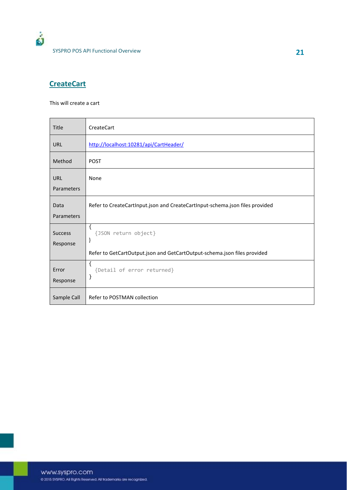### **CreateCart**

This will create a cart

| Title                    | <b>CreateCart</b>                                                            |
|--------------------------|------------------------------------------------------------------------------|
| URL                      | http://localhost:10281/api/CartHeader/                                       |
| Method                   | <b>POST</b>                                                                  |
| <b>URL</b><br>Parameters | None                                                                         |
|                          |                                                                              |
| Data<br>Parameters       | Refer to CreateCartInput.json and CreateCartInput-schema.json files provided |
| <b>Success</b>           | $\mathcal{L}_{\mathcal{L}}$<br>{JSON return object}                          |
| Response                 | }                                                                            |
|                          | Refer to GetCartOutput.json and GetCartOutput-schema.json files provided     |
| Error                    | ſ<br>{Detail of error returned}                                              |
| Response                 | }                                                                            |
| Sample Call              | Refer to POSTMAN collection                                                  |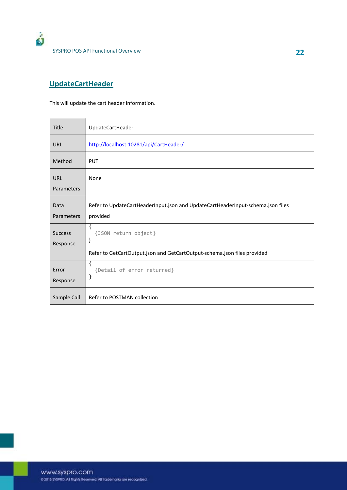

### **UpdateCartHeader**

This will update the cart header information.

| Title                      | UpdateCartHeader                                                                                                                     |
|----------------------------|--------------------------------------------------------------------------------------------------------------------------------------|
| <b>URL</b>                 | http://localhost:10281/api/CartHeader/                                                                                               |
| Method                     | <b>PUT</b>                                                                                                                           |
| URL<br>Parameters          | None                                                                                                                                 |
| Data<br>Parameters         | Refer to UpdateCartHeaderInput.json and UpdateCartHeaderInput-schema.json files<br>provided                                          |
| <b>Success</b><br>Response | $\mathcal{L}_{\mathcal{L}}$<br>{JSON return object}<br>}<br>Refer to GetCartOutput.json and GetCartOutput-schema.json files provided |
| Error<br>Response          | ſ<br>{Detail of error returned}<br>}                                                                                                 |
| Sample Call                | Refer to POSTMAN collection                                                                                                          |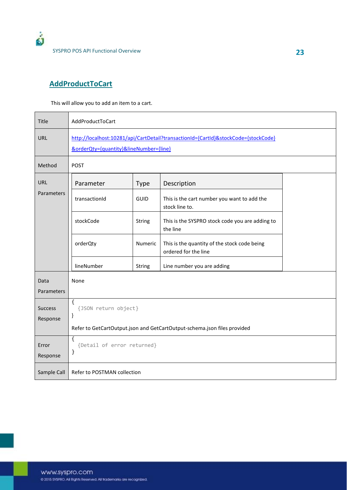

### **AddProductToCart**

This will allow you to add an item to a cart.

| Title                      | AddProductToCart                                                                                                             |               |                                                                      |  |  |
|----------------------------|------------------------------------------------------------------------------------------------------------------------------|---------------|----------------------------------------------------------------------|--|--|
| URL                        | http://localhost:10281/api/CartDetail?transactionId={CartId}&stockCode={stockCode}<br>&orderQty={quantity}&lineNumber={line} |               |                                                                      |  |  |
| Method                     | <b>POST</b>                                                                                                                  |               |                                                                      |  |  |
| <b>URL</b>                 | Parameter                                                                                                                    | <b>Type</b>   | Description                                                          |  |  |
| Parameters                 | transactionId                                                                                                                | GUID          | This is the cart number you want to add the<br>stock line to.        |  |  |
|                            | stockCode                                                                                                                    | <b>String</b> | This is the SYSPRO stock code you are adding to<br>the line          |  |  |
|                            | orderQty                                                                                                                     | Numeric       | This is the quantity of the stock code being<br>ordered for the line |  |  |
|                            | lineNumber                                                                                                                   | String        | Line number you are adding                                           |  |  |
| Data<br>Parameters         | None                                                                                                                         |               |                                                                      |  |  |
| <b>Success</b><br>Response | $\{$<br>{JSON return object}<br>}                                                                                            |               |                                                                      |  |  |
|                            | Refer to GetCartOutput.json and GetCartOutput-schema.json files provided                                                     |               |                                                                      |  |  |
| Error<br>Response          | $\mathbf{f}$<br>{Detail of error returned}<br>}                                                                              |               |                                                                      |  |  |
| Sample Call                | Refer to POSTMAN collection                                                                                                  |               |                                                                      |  |  |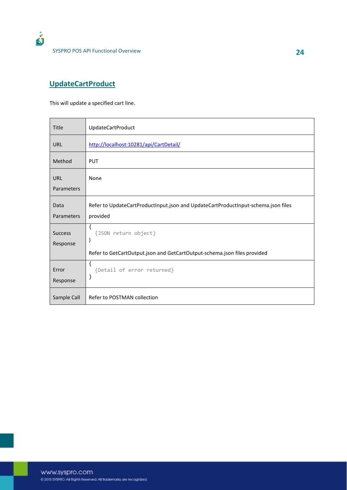

### **UpdateCartProduct**

This will update a specified cart line.

| <b>Title</b>               | <b>UpdateCartProduct</b>                                                                                   |
|----------------------------|------------------------------------------------------------------------------------------------------------|
| <b>URL</b>                 | http://localhost:10281/api/CartDetail/                                                                     |
| Method                     | <b>PUT</b>                                                                                                 |
| <b>URL</b><br>Parameters   | None                                                                                                       |
| Data<br>Parameters         | Refer to UpdateCartProductInput.json and UpdateCartProductInput-schema.json files<br>provided              |
| <b>Success</b><br>Response | ₹<br>{JSON return object}<br>}<br>Refer to GetCartOutput.json and GetCartOutput-schema.json files provided |
| Error<br>Response          | ₹<br>{Detail of error returned}<br>}                                                                       |
| Sample Call                | Refer to POSTMAN collection                                                                                |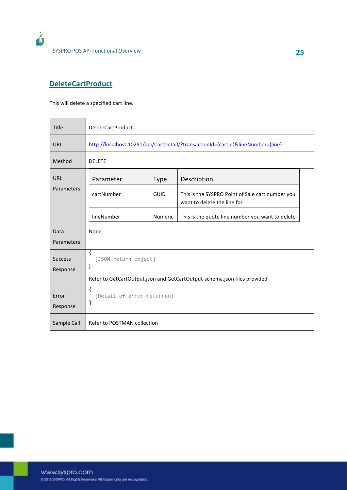

### **DeleteCartProduct**

This will delete a specified cart line.

| <b>Title</b>               | <b>DeleteCartProduct</b>                                                        |             |                                                                                 |  |  |
|----------------------------|---------------------------------------------------------------------------------|-------------|---------------------------------------------------------------------------------|--|--|
| <b>URL</b>                 | http://localhost:10281/api/CartDetail/?transactionId={cartId}&lineNumber={line} |             |                                                                                 |  |  |
| Method                     | <b>DELETE</b>                                                                   |             |                                                                                 |  |  |
| <b>URL</b>                 | Parameter                                                                       | <b>Type</b> | Description                                                                     |  |  |
| Parameters                 | cartNumber                                                                      | GUID        | This is the SYSPRO Point of Sale cart number you<br>want to delete the line for |  |  |
|                            | lineNumber                                                                      | Numeric     | This is the quote line number you want to delete                                |  |  |
| Data<br>Parameters         | None                                                                            |             |                                                                                 |  |  |
| <b>Success</b><br>Response | $\left\{ \right.$<br>{JSON return object}<br>}                                  |             |                                                                                 |  |  |
|                            | Refer to GetCartOutput.json and GetCartOutput-schema.json files provided        |             |                                                                                 |  |  |
| Error<br>Response          | $\{$<br>{Detail of error returned}<br>}                                         |             |                                                                                 |  |  |
| Sample Call                | Refer to POSTMAN collection                                                     |             |                                                                                 |  |  |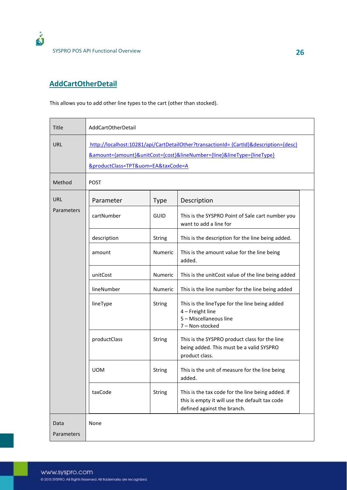

### **AddCartOtherDetail**

This allows you to add other line types to the cart (other than stocked).

| <b>Title</b>       | AddCartOtherDetail                                                                                                                                                                                                            |               |                                                                                                                                    |  |
|--------------------|-------------------------------------------------------------------------------------------------------------------------------------------------------------------------------------------------------------------------------|---------------|------------------------------------------------------------------------------------------------------------------------------------|--|
| URL                | http://localhost:10281/api/CartDetailOther?transactionId= {CartId}&description={desc}<br><u> &amp;amount={amount}&amp;unitCost={cost}&amp;lineNumber={line}&amp;lineType={lineType}</u><br>&productClass=TPT&uom=EA&taxCode=A |               |                                                                                                                                    |  |
| Method             | <b>POST</b>                                                                                                                                                                                                                   |               |                                                                                                                                    |  |
| URL                | Parameter                                                                                                                                                                                                                     | <b>Type</b>   | Description                                                                                                                        |  |
| Parameters         | cartNumber                                                                                                                                                                                                                    | <b>GUID</b>   | This is the SYSPRO Point of Sale cart number you<br>want to add a line for                                                         |  |
|                    | description                                                                                                                                                                                                                   | String        | This is the description for the line being added.                                                                                  |  |
|                    | amount                                                                                                                                                                                                                        | Numeric       | This is the amount value for the line being<br>added.                                                                              |  |
|                    | unitCost                                                                                                                                                                                                                      | Numeric       | This is the unitCost value of the line being added                                                                                 |  |
|                    | lineNumber                                                                                                                                                                                                                    | Numeric       | This is the line number for the line being added                                                                                   |  |
|                    | lineType                                                                                                                                                                                                                      | String        | This is the lineType for the line being added<br>4 - Freight line<br>5 - Miscellaneous line<br>7 - Non-stocked                     |  |
|                    | productClass                                                                                                                                                                                                                  | String        | This is the SYSPRO product class for the line<br>being added. This must be a valid SYSPRO<br>product class.                        |  |
|                    | <b>UOM</b>                                                                                                                                                                                                                    | String        | This is the unit of measure for the line being<br>added.                                                                           |  |
|                    | taxCode                                                                                                                                                                                                                       | <b>String</b> | This is the tax code for the line being added. If<br>this is empty it will use the default tax code<br>defined against the branch. |  |
| Data<br>Parameters | None                                                                                                                                                                                                                          |               |                                                                                                                                    |  |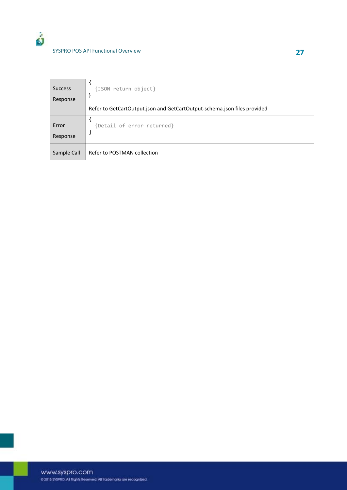| <b>Success</b><br>Response | {JSON return object}                                                     |
|----------------------------|--------------------------------------------------------------------------|
|                            | Refer to GetCartOutput.json and GetCartOutput-schema.json files provided |
| Error<br>Response          | {Detail of error returned}                                               |
| Sample Call                | Refer to POSTMAN collection                                              |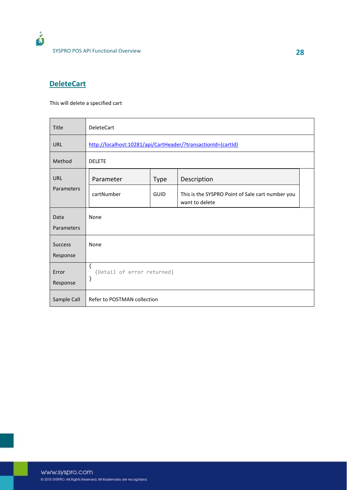#### **DeleteCart**

This will delete a specified cart

| <b>Title</b>               | <b>DeleteCart</b>                                             |             |                                                                    |  |  |
|----------------------------|---------------------------------------------------------------|-------------|--------------------------------------------------------------------|--|--|
| URL                        | http://localhost:10281/api/CartHeader/?transactionId={cartId} |             |                                                                    |  |  |
| Method                     | <b>DELETE</b>                                                 |             |                                                                    |  |  |
| URL                        | Parameter                                                     | <b>Type</b> | Description                                                        |  |  |
| Parameters                 | cartNumber                                                    | GUID        | This is the SYSPRO Point of Sale cart number you<br>want to delete |  |  |
| Data<br>Parameters         | None                                                          |             |                                                                    |  |  |
| <b>Success</b><br>Response | None                                                          |             |                                                                    |  |  |
| Error<br>Response          | $\{$<br>{Detail of error returned}<br>}                       |             |                                                                    |  |  |
| Sample Call                | Refer to POSTMAN collection                                   |             |                                                                    |  |  |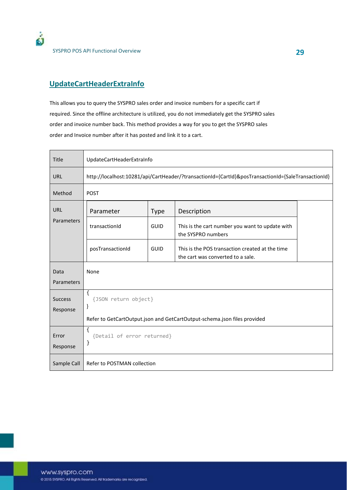

SYSPRO POS API Functional Overview **29**

#### **UpdateCartHeaderExtraInfo**

This allows you to query the SYSPRO sales order and invoice numbers for a specific cart if required. Since the offline architecture is utilized, you do not immediately get the SYSPRO sales order and invoice number back. This method provides a way for you to get the SYSPRO sales order and Invoice number after it has posted and link it to a cart.

| Title             | UpdateCartHeaderExtraInfo                                                                          |                                                                          |                                                                                      |  |  |  |
|-------------------|----------------------------------------------------------------------------------------------------|--------------------------------------------------------------------------|--------------------------------------------------------------------------------------|--|--|--|
| URL               | http://localhost:10281/api/CartHeader/?transactionId={CartId}&posTransactionId={SaleTransactionId} |                                                                          |                                                                                      |  |  |  |
| Method            | <b>POST</b>                                                                                        |                                                                          |                                                                                      |  |  |  |
| URL               | Parameter                                                                                          | <b>Type</b>                                                              | Description                                                                          |  |  |  |
| Parameters        | transactionId                                                                                      | <b>GUID</b>                                                              | This is the cart number you want to update with<br>the SYSPRO numbers                |  |  |  |
|                   | posTransactionId                                                                                   | <b>GUID</b>                                                              | This is the POS transaction created at the time<br>the cart was converted to a sale. |  |  |  |
| Data              | None                                                                                               |                                                                          |                                                                                      |  |  |  |
| Parameters        |                                                                                                    |                                                                          |                                                                                      |  |  |  |
| <b>Success</b>    | $\{$                                                                                               | {JSON return object}                                                     |                                                                                      |  |  |  |
| Response          | }                                                                                                  |                                                                          |                                                                                      |  |  |  |
|                   |                                                                                                    | Refer to GetCartOutput.json and GetCartOutput-schema.json files provided |                                                                                      |  |  |  |
| Error<br>Response | ſ<br>{Detail of error returned}<br>}                                                               |                                                                          |                                                                                      |  |  |  |
|                   | Refer to POSTMAN collection                                                                        |                                                                          |                                                                                      |  |  |  |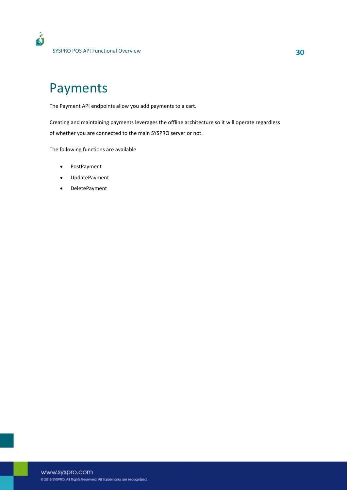## Payments

The Payment API endpoints allow you add payments to a cart.

Creating and maintaining payments leverages the offline architecture so it will operate regardless of whether you are connected to the main SYSPRO server or not.

The following functions are available

- PostPayment
- UpdatePayment
- DeletePayment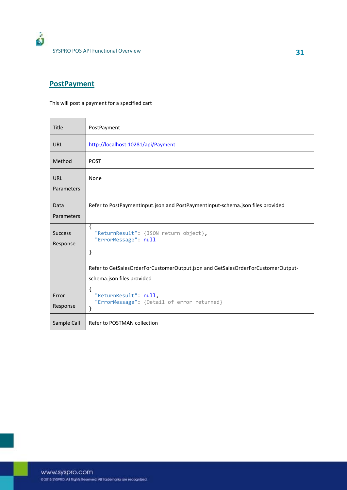### **PostPayment**

This will post a payment for a specified cart

| <b>Title</b>               | PostPayment                                                                                       |
|----------------------------|---------------------------------------------------------------------------------------------------|
| <b>URL</b>                 | http://localhost:10281/api/Payment                                                                |
| Method                     | <b>POST</b>                                                                                       |
| <b>URL</b>                 | None                                                                                              |
| Parameters                 |                                                                                                   |
| Data                       | Refer to PostPaymentInput.json and PostPaymentInput-schema.json files provided                    |
| Parameters                 |                                                                                                   |
| <b>Success</b><br>Response | $\mathcal{L}_{\mathcal{L}}$<br>"ReturnResult": {JSON return object},<br>"ErrorMessage": null<br>} |
|                            | Refer to GetSalesOrderForCustomerOutput.json and GetSalesOrderForCustomerOutput-                  |
|                            | schema.json files provided                                                                        |
| Error<br>Response          | ₹<br>"ReturnResult": null,<br>"ErrorMessage": {Detail of error returned}<br>}                     |
| Sample Call                | Refer to POSTMAN collection                                                                       |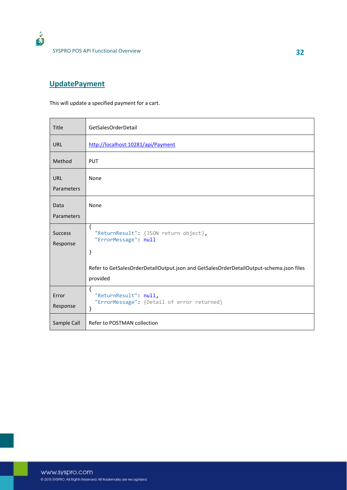

### **UpdatePayment**

This will update a specified payment for a cart.

| <b>Title</b>               | GetSalesOrderDetail                                                                                                                                                               |
|----------------------------|-----------------------------------------------------------------------------------------------------------------------------------------------------------------------------------|
| <b>URL</b>                 | http://localhost:10281/api/Payment                                                                                                                                                |
| Method                     | <b>PUT</b>                                                                                                                                                                        |
| <b>URL</b><br>Parameters   | None                                                                                                                                                                              |
| Data<br>Parameters         | None                                                                                                                                                                              |
| <b>Success</b><br>Response | $\{$<br>"ReturnResult": {JSON return object},<br>"ErrorMessage": null<br>}<br>Refer to GetSalesOrderDetailOutput.json and GetSalesOrderDetailOutput-schema.json files<br>provided |
| Error<br>Response          | $\{$<br>"ReturnResult": null,<br>"ErrorMessage": {Detail of error returned}<br>}                                                                                                  |
| Sample Call                | Refer to POSTMAN collection                                                                                                                                                       |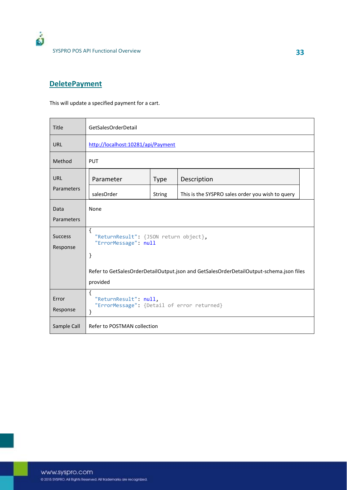

#### **DeletePayment**

This will update a specified payment for a cart.

| Title                      | GetSalesOrderDetail                                                                                 |               |                                                  |  |  |
|----------------------------|-----------------------------------------------------------------------------------------------------|---------------|--------------------------------------------------|--|--|
| <b>URL</b>                 | http://localhost:10281/api/Payment                                                                  |               |                                                  |  |  |
| Method                     | <b>PUT</b>                                                                                          |               |                                                  |  |  |
| URL                        | Parameter                                                                                           | <b>Type</b>   | Description                                      |  |  |
| Parameters                 | salesOrder                                                                                          | <b>String</b> | This is the SYSPRO sales order you wish to query |  |  |
| Data<br>Parameters         | None                                                                                                |               |                                                  |  |  |
| <b>Success</b><br>Response | $\left\{ \right.$<br>"ReturnResult": {JSON return object},<br>"ErrorMessage": null<br>}             |               |                                                  |  |  |
|                            | Refer to GetSalesOrderDetailOutput.json and GetSalesOrderDetailOutput-schema.json files<br>provided |               |                                                  |  |  |
| Error<br>Response          | $\{$<br>"ReturnResult": null,<br>"ErrorMessage": {Detail of error returned}<br>}                    |               |                                                  |  |  |
| Sample Call                | Refer to POSTMAN collection                                                                         |               |                                                  |  |  |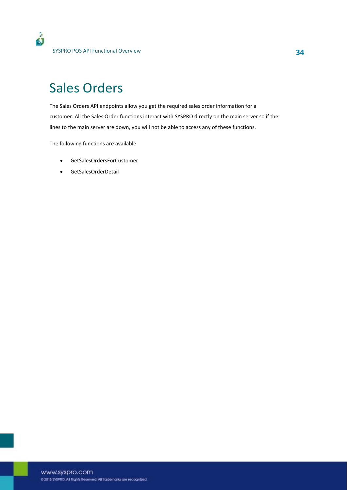# Sales Orders

The Sales Orders API endpoints allow you get the required sales order information for a customer. All the Sales Order functions interact with SYSPRO directly on the main server so if the lines to the main server are down, you will not be able to access any of these functions.

The following functions are available

- x GetSalesOrdersForCustomer
- GetSalesOrderDetail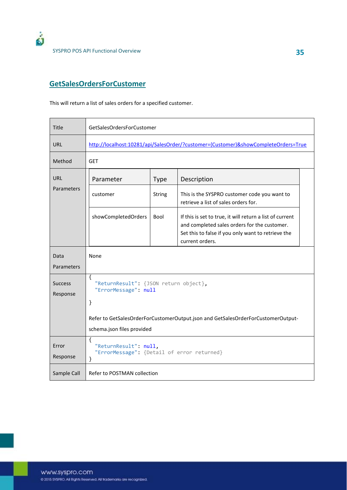

SYSPRO POS API Functional Overview **35**

#### **GetSalesOrdersForCustomer**

This will return a list of sales orders for a specified customer.

| Title                      | GetSalesOrdersForCustomer                                                                    |             |                                                                                                                                                                                   |  |  |
|----------------------------|----------------------------------------------------------------------------------------------|-------------|-----------------------------------------------------------------------------------------------------------------------------------------------------------------------------------|--|--|
| URL                        | http://localhost:10281/api/SalesOrder/?customer={Customer}&showCompleteOrders=True           |             |                                                                                                                                                                                   |  |  |
| Method                     | <b>GET</b>                                                                                   |             |                                                                                                                                                                                   |  |  |
| <b>URL</b>                 | Parameter                                                                                    | <b>Type</b> | Description                                                                                                                                                                       |  |  |
| Parameters                 | customer                                                                                     | String      | This is the SYSPRO customer code you want to<br>retrieve a list of sales orders for.                                                                                              |  |  |
|                            | showCompletedOrders                                                                          | Bool        | If this is set to true, it will return a list of current<br>and completed sales orders for the customer.<br>Set this to false if you only want to retrieve the<br>current orders. |  |  |
| Data                       | None                                                                                         |             |                                                                                                                                                                                   |  |  |
| Parameters                 |                                                                                              |             |                                                                                                                                                                                   |  |  |
| <b>Success</b><br>Response | $\mathcal{L}_{\mathcal{L}}$<br>"ReturnResult": {JSON return object},<br>"ErrorMessage": null |             |                                                                                                                                                                                   |  |  |
|                            | }                                                                                            |             |                                                                                                                                                                                   |  |  |
|                            |                                                                                              |             | Refer to GetSalesOrderForCustomerOutput.json and GetSalesOrderForCustomerOutput-                                                                                                  |  |  |
|                            | schema.json files provided                                                                   |             |                                                                                                                                                                                   |  |  |
| Error<br>Response          | ₹<br>"ReturnResult": null,<br>"ErrorMessage": {Detail of error returned}<br>}                |             |                                                                                                                                                                                   |  |  |
| Sample Call                | Refer to POSTMAN collection                                                                  |             |                                                                                                                                                                                   |  |  |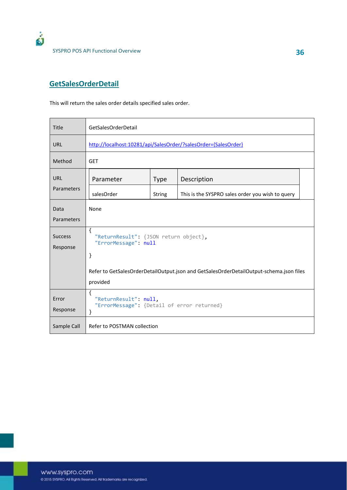

### **GetSalesOrderDetail**

This will return the sales order details specified sales order.

| <b>Title</b>               | GetSalesOrderDetail                                                                                 |               |                                                  |  |  |
|----------------------------|-----------------------------------------------------------------------------------------------------|---------------|--------------------------------------------------|--|--|
| <b>URL</b>                 | http://localhost:10281/api/SalesOrder/?salesOrder={SalesOrder}                                      |               |                                                  |  |  |
| Method                     | <b>GET</b>                                                                                          |               |                                                  |  |  |
| URL                        | Parameter                                                                                           | <b>Type</b>   | Description                                      |  |  |
| Parameters                 | salesOrder                                                                                          | <b>String</b> | This is the SYSPRO sales order you wish to query |  |  |
| Data<br>Parameters         | None                                                                                                |               |                                                  |  |  |
| <b>Success</b><br>Response | $\mathcal{L}_{\mathcal{L}}$<br>"ReturnResult": {JSON return object},<br>"ErrorMessage": null<br>}   |               |                                                  |  |  |
|                            | Refer to GetSalesOrderDetailOutput.json and GetSalesOrderDetailOutput-schema.json files<br>provided |               |                                                  |  |  |
| Error<br>Response          | $\{$<br>"ReturnResult": null,<br>"ErrorMessage": {Detail of error returned}<br>}                    |               |                                                  |  |  |
| Sample Call                | Refer to POSTMAN collection                                                                         |               |                                                  |  |  |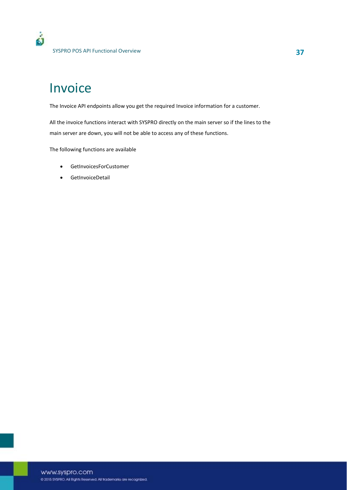## Invoice

The Invoice API endpoints allow you get the required Invoice information for a customer.

All the invoice functions interact with SYSPRO directly on the main server so if the lines to the main server are down, you will not be able to access any of these functions.

The following functions are available

- **•** GetInvoicesForCustomer
- **•** GetInvoiceDetail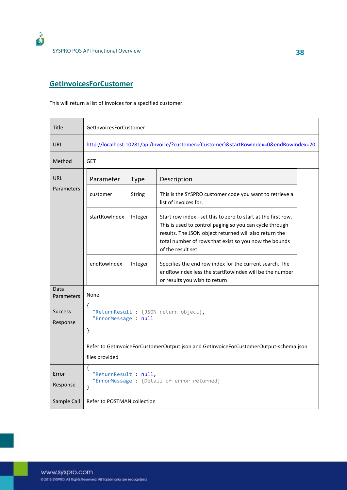

SYSPRO POS API Functional Overview **38**

#### **GetInvoicesForCustomer**

This will return a list of invoices for a specified customer.

| <b>Title</b>               | <b>GetInvoicesForCustomer</b>                                                          |             |                                                                                                                                                                                                                                                                  |  |  |
|----------------------------|----------------------------------------------------------------------------------------|-------------|------------------------------------------------------------------------------------------------------------------------------------------------------------------------------------------------------------------------------------------------------------------|--|--|
| <b>URL</b>                 | http://localhost:10281/api/Invoice/?customer={Customer}&startRowIndex=0&endRowIndex=20 |             |                                                                                                                                                                                                                                                                  |  |  |
| Method                     | <b>GET</b>                                                                             |             |                                                                                                                                                                                                                                                                  |  |  |
| <b>URL</b>                 | Parameter                                                                              | <b>Type</b> | Description                                                                                                                                                                                                                                                      |  |  |
| Parameters                 | customer                                                                               | String      | This is the SYSPRO customer code you want to retrieve a<br>list of invoices for.                                                                                                                                                                                 |  |  |
| startRowIndex              |                                                                                        | Integer     | Start row index - set this to zero to start at the first row.<br>This is used to control paging so you can cycle through<br>results. The JSON object returned will also return the<br>total number of rows that exist so you now the bounds<br>of the result set |  |  |
|                            | endRowIndex                                                                            | Integer     | Specifies the end row index for the current search. The<br>endRowIndex less the startRowIndex will be the number<br>or results you wish to return                                                                                                                |  |  |
| Data<br>Parameters         | None                                                                                   |             |                                                                                                                                                                                                                                                                  |  |  |
| <b>Success</b><br>Response | €<br>"ReturnResult": {JSON return object},<br>"ErrorMessage": null<br>$\mathcal{F}$    |             |                                                                                                                                                                                                                                                                  |  |  |
|                            |                                                                                        |             | Refer to GetInvoiceForCustomerOutput.json and GetInvoiceForCustomerOutput-schema.json                                                                                                                                                                            |  |  |
|                            | files provided                                                                         |             |                                                                                                                                                                                                                                                                  |  |  |
| Error<br>Response          | ſ<br>"ReturnResult": null,<br>"ErrorMessage": {Detail of error returned}<br>}          |             |                                                                                                                                                                                                                                                                  |  |  |
| Sample Call                | Refer to POSTMAN collection                                                            |             |                                                                                                                                                                                                                                                                  |  |  |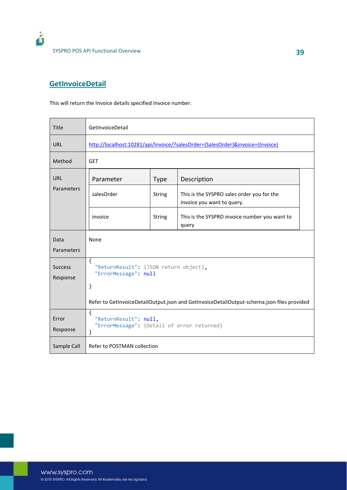

#### **GetInvoiceDetail**

This will return the Invoice details specified Invoice number.

| <b>Title</b>               | GetInvoiceDetail                                                                           |               |                                                                          |  |  |
|----------------------------|--------------------------------------------------------------------------------------------|---------------|--------------------------------------------------------------------------|--|--|
| <b>URL</b>                 | http://localhost:10281/api/Invoice/?salesOrder={SalesOrder}&invoice={Invoice}              |               |                                                                          |  |  |
| Method                     | <b>GET</b>                                                                                 |               |                                                                          |  |  |
| URL                        | Parameter                                                                                  | <b>Type</b>   | Description                                                              |  |  |
| Parameters                 | salesOrder                                                                                 | <b>String</b> | This is the SYSPRO sales order you for the<br>invoice you want to query. |  |  |
|                            | invoice                                                                                    | <b>String</b> | This is the SYSPRO invoice number you want to<br>query                   |  |  |
| Data<br>Parameters         | None                                                                                       |               |                                                                          |  |  |
| <b>Success</b><br>Response | $\{$<br>"ReturnResult": {JSON return object},<br>"ErrorMessage": null<br>}                 |               |                                                                          |  |  |
|                            | Refer to GetInvoiceDetailOutput.json and GetInvoiceDetailOutput-schema.json files provided |               |                                                                          |  |  |
| Error<br>Response          | $\{$<br>"ReturnResult": null,<br>"ErrorMessage": {Detail of error returned}<br>}           |               |                                                                          |  |  |
| Sample Call                | Refer to POSTMAN collection                                                                |               |                                                                          |  |  |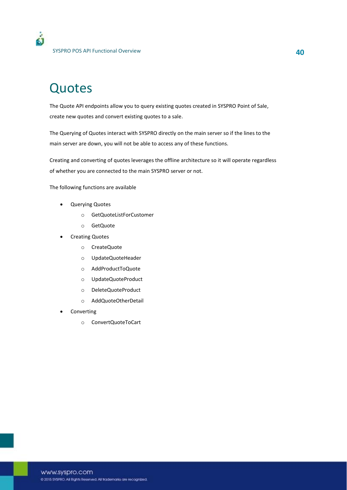## Quotes

۵Ĩ

The Quote API endpoints allow you to query existing quotes created in SYSPRO Point of Sale, create new quotes and convert existing quotes to a sale.

The Querying of Quotes interact with SYSPRO directly on the main server so if the lines to the main server are down, you will not be able to access any of these functions.

Creating and converting of quotes leverages the offline architecture so it will operate regardless of whether you are connected to the main SYSPRO server or not.

The following functions are available

- Querying Quotes
	- o GetQuoteListForCustomer
	- o GetQuote
- **Creating Quotes** 
	- o CreateQuote
	- o UpdateQuoteHeader
	- o AddProductToQuote
	- o UpdateQuoteProduct
	- o DeleteQuoteProduct
	- o AddQuoteOtherDetail
- Converting
	- o ConvertQuoteToCart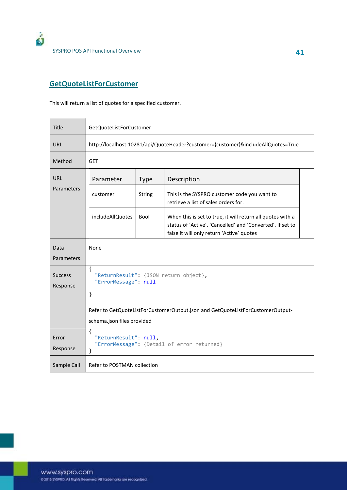

#### **GetQuoteListForCustomer**

This will return a list of quotes for a specified customer.

| <b>Title</b>               | GetQuoteListForCustomer                                                                 |               |                                                                                                                                                                       |  |
|----------------------------|-----------------------------------------------------------------------------------------|---------------|-----------------------------------------------------------------------------------------------------------------------------------------------------------------------|--|
| URL                        | http://localhost:10281/api/QuoteHeader?customer={customer}&includeAllQuotes=True        |               |                                                                                                                                                                       |  |
| Method                     | <b>GET</b>                                                                              |               |                                                                                                                                                                       |  |
| <b>URL</b>                 | Parameter                                                                               | <b>Type</b>   | Description                                                                                                                                                           |  |
| Parameters                 | customer                                                                                | <b>String</b> | This is the SYSPRO customer code you want to<br>retrieve a list of sales orders for.                                                                                  |  |
|                            | <i>includeAllQuotes</i>                                                                 | Bool          | When this is set to true, it will return all quotes with a<br>status of 'Active', 'Cancelled' and 'Converted'. If set to<br>false it will only return 'Active' quotes |  |
| Data<br>Parameters         | None                                                                                    |               |                                                                                                                                                                       |  |
| <b>Success</b><br>Response | $\left\{ \right.$<br>"ReturnResult": {JSON return object},<br>"ErrorMessage": null<br>} |               |                                                                                                                                                                       |  |
|                            | Refer to GetQuoteListForCustomerOutput.json and GetQuoteListForCustomerOutput-          |               |                                                                                                                                                                       |  |
|                            | schema.json files provided                                                              |               |                                                                                                                                                                       |  |
| Error<br>Response          | €<br>"ReturnResult": null,<br>"ErrorMessage": {Detail of error returned}<br>}           |               |                                                                                                                                                                       |  |
| Sample Call                | Refer to POSTMAN collection                                                             |               |                                                                                                                                                                       |  |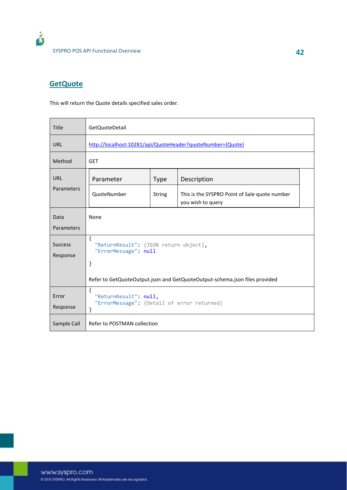### **GetQuote**

This will return the Quote details specified sales order.

| Title                      | <b>GetQuoteDetail</b>                                                            |               |                                                                    |  |
|----------------------------|----------------------------------------------------------------------------------|---------------|--------------------------------------------------------------------|--|
| <b>URL</b>                 | http://localhost:10281/api/QuoteHeader?quoteNumber={Quote}                       |               |                                                                    |  |
| Method                     | <b>GET</b>                                                                       |               |                                                                    |  |
| <b>URL</b>                 | Parameter                                                                        | <b>Type</b>   | Description                                                        |  |
| Parameters                 | QuoteNumber                                                                      | <b>String</b> | This is the SYSPRO Point of Sale quote number<br>you wish to query |  |
| Data                       | None                                                                             |               |                                                                    |  |
| Parameters                 |                                                                                  |               |                                                                    |  |
| <b>Success</b><br>Response | $\{$<br>"ReturnResult": {JSON return object},<br>"ErrorMessage": null<br>}       |               |                                                                    |  |
|                            | Refer to GetQuoteOutput.json and GetQuoteOutput-schema.json files provided       |               |                                                                    |  |
| Error<br>Response          | $\{$<br>"ReturnResult": null,<br>"ErrorMessage": {Detail of error returned}<br>} |               |                                                                    |  |
| Sample Call                | Refer to POSTMAN collection                                                      |               |                                                                    |  |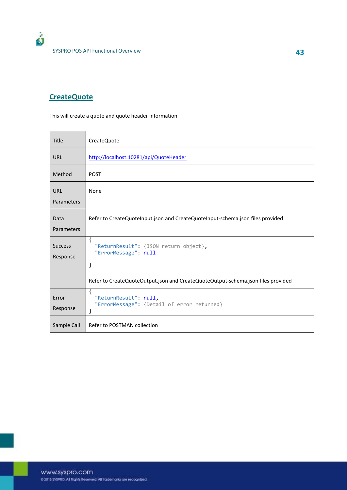#### **CreateQuote**

This will create a quote and quote header information

| Title                      | CreateQuote                                                                      |
|----------------------------|----------------------------------------------------------------------------------|
| <b>URL</b>                 | http://localhost:10281/api/QuoteHeader                                           |
| Method                     | <b>POST</b>                                                                      |
| <b>URL</b><br>Parameters   | None                                                                             |
| Data<br>Parameters         | Refer to CreateQuoteInput.json and CreateQuoteInput-schema.json files provided   |
| <b>Success</b><br>Response | $\{$<br>"ReturnResult": {JSON return object},<br>"ErrorMessage": null<br>}       |
|                            | Refer to CreateQuoteOutput.json and CreateQuoteOutput-schema.json files provided |
| Error<br>Response          | ſ<br>"ReturnResult": null,<br>"ErrorMessage": {Detail of error returned}<br>}    |
| Sample Call                | Refer to POSTMAN collection                                                      |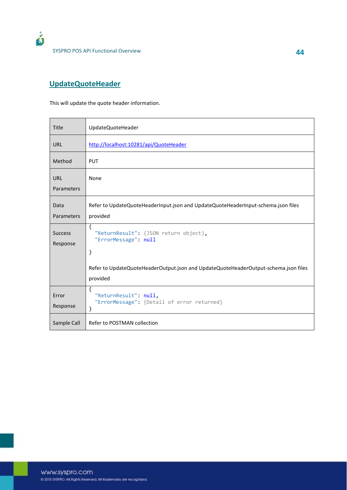

### **UpdateQuoteHeader**

This will update the quote header information.

| <b>Title</b>               | UpdateQuoteHeader                                                                               |
|----------------------------|-------------------------------------------------------------------------------------------------|
| <b>URL</b>                 | http://localhost:10281/api/QuoteHeader                                                          |
| Method                     | <b>PUT</b>                                                                                      |
| <b>URL</b>                 | None                                                                                            |
| Parameters                 |                                                                                                 |
| Data                       | Refer to UpdateQuoteHeaderInput.json and UpdateQuoteHeaderInput-schema.json files               |
| Parameters                 | provided                                                                                        |
| <b>Success</b><br>Response | $\{$<br>"ReturnResult": {JSON return object},<br>"ErrorMessage": null<br>}                      |
|                            | Refer to UpdateQuoteHeaderOutput.json and UpdateQuoteHeaderOutput-schema.json files<br>provided |
| Error<br>Response          | ₹<br>"ReturnResult": null,<br>"ErrorMessage": {Detail of error returned}<br>}                   |
| Sample Call                | Refer to POSTMAN collection                                                                     |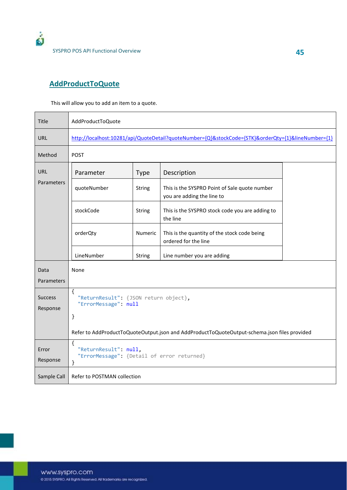

### **AddProductToQuote**

This will allow you to add an item to a quote.

| Title                      | AddProductToQuote                                                                                  |               |                                                                                              |  |  |
|----------------------------|----------------------------------------------------------------------------------------------------|---------------|----------------------------------------------------------------------------------------------|--|--|
| <b>URL</b>                 | http://localhost:10281/api/QuoteDetail?quoteNumber={Q}&stockCode={STK}&orderQty={1}&lineNumber={1} |               |                                                                                              |  |  |
| Method                     | <b>POST</b>                                                                                        |               |                                                                                              |  |  |
| <b>URL</b>                 | Parameter                                                                                          | <b>Type</b>   | Description                                                                                  |  |  |
| Parameters                 | quoteNumber                                                                                        | String        | This is the SYSPRO Point of Sale quote number<br>you are adding the line to                  |  |  |
|                            | stockCode                                                                                          | <b>String</b> | This is the SYSPRO stock code you are adding to<br>the line                                  |  |  |
|                            | orderQty                                                                                           | Numeric       | This is the quantity of the stock code being<br>ordered for the line                         |  |  |
|                            | LineNumber                                                                                         | String        | Line number you are adding                                                                   |  |  |
| Data<br>Parameters         | None                                                                                               |               |                                                                                              |  |  |
| <b>Success</b><br>Response | $\{$<br>"ReturnResult": {JSON return object},<br>"ErrorMessage": null<br>}                         |               |                                                                                              |  |  |
|                            |                                                                                                    |               | Refer to AddProductToQuoteOutput.json and AddProductToQuoteOutput-schema.json files provided |  |  |
| Error<br>Response          | $\{$<br>"ReturnResult": null,<br>"ErrorMessage": {Detail of error returned}<br>}                   |               |                                                                                              |  |  |
| Sample Call                | Refer to POSTMAN collection                                                                        |               |                                                                                              |  |  |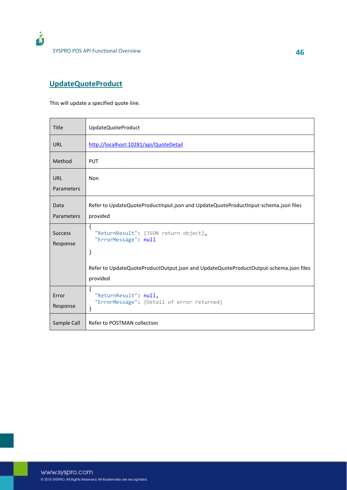

### **UpdateQuoteProduct**

This will update a specified quote line.

| Title                      | UpdateQuoteProduct                                                                    |
|----------------------------|---------------------------------------------------------------------------------------|
| <b>URL</b>                 | http://localhost:10281/api/QuoteDetail                                                |
| Method                     | <b>PUT</b>                                                                            |
| <b>URL</b>                 | Non                                                                                   |
| Parameters                 |                                                                                       |
| Data                       | Refer to UpdateQuoteProductInput.json and UpdateQuoteProductInput-schema.json files   |
| Parameters                 | provided                                                                              |
| <b>Success</b><br>Response | ſ<br>"ReturnResult": {JSON return object},<br>"ErrorMessage": null<br>}               |
|                            | Refer to UpdateQuoteProductOutput.json and UpdateQuoteProductOutput-schema.json files |
|                            | provided                                                                              |
| Error<br>Response          | ſ<br>"ReturnResult": null,<br>"ErrorMessage": {Detail of error returned}<br>}         |
| Sample Call                | Refer to POSTMAN collection                                                           |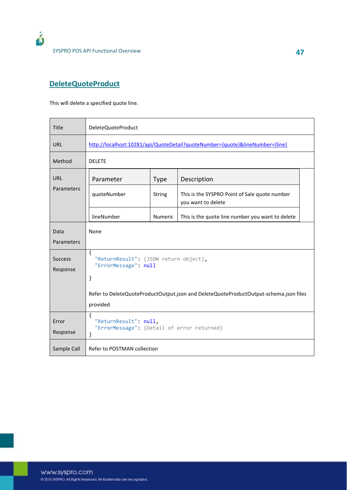

#### **DeleteQuoteProduct**

This will delete a specified quote line.

| Title                      | DeleteQuoteProduct                                                                                                                                                  |                |                                                                     |  |  |
|----------------------------|---------------------------------------------------------------------------------------------------------------------------------------------------------------------|----------------|---------------------------------------------------------------------|--|--|
| <b>URL</b>                 | http://localhost:10281/api/QuoteDetail?quoteNumber={quote}&lineNumber={line}                                                                                        |                |                                                                     |  |  |
| Method                     | <b>DELETE</b>                                                                                                                                                       |                |                                                                     |  |  |
| URL                        | Parameter                                                                                                                                                           | <b>Type</b>    | Description                                                         |  |  |
| Parameters                 | quoteNumber                                                                                                                                                         | <b>String</b>  | This is the SYSPRO Point of Sale quote number<br>you want to delete |  |  |
|                            | lineNumber                                                                                                                                                          | <b>Numeric</b> | This is the quote line number you want to delete                    |  |  |
| Data<br>Parameters         | None                                                                                                                                                                |                |                                                                     |  |  |
| <b>Success</b><br>Response | $\{$<br>"ReturnResult": {JSON return object},<br>"ErrorMessage": null<br>}<br>Refer to DeleteQuoteProductOutput.json and DeleteQuoteProductOutput-schema.json files |                |                                                                     |  |  |
|                            | provided                                                                                                                                                            |                |                                                                     |  |  |
| Error<br>Response          | $\{$<br>"ReturnResult": null,<br>"ErrorMessage": {Detail of error returned}<br>}                                                                                    |                |                                                                     |  |  |
| Sample Call                | Refer to POSTMAN collection                                                                                                                                         |                |                                                                     |  |  |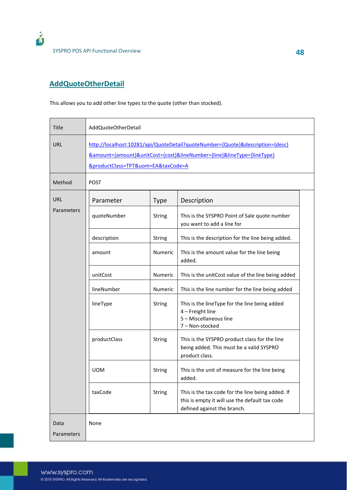

### **AddQuoteOtherDetail**

This allows you to add other line types to the quote (other than stocked).

| Title              | AddQuoteOtherDetail                                                                                                                                                                                                   |               |                                                                                                                                    |  |
|--------------------|-----------------------------------------------------------------------------------------------------------------------------------------------------------------------------------------------------------------------|---------------|------------------------------------------------------------------------------------------------------------------------------------|--|
| <b>URL</b>         | http://localhost:10281/api/QuoteDetail?quoteNumber={Quote}&description={desc}<br><u> &amp;amount={amount}&amp;unitCost={cost}&amp;lineNumber={line}&amp;lineType={lineType}</u><br>&productClass=TPT&uom=EA&taxCode=A |               |                                                                                                                                    |  |
| Method             | <b>POST</b>                                                                                                                                                                                                           |               |                                                                                                                                    |  |
| <b>URL</b>         | Parameter                                                                                                                                                                                                             | <b>Type</b>   | Description                                                                                                                        |  |
| Parameters         | quoteNumber                                                                                                                                                                                                           | <b>String</b> | This is the SYSPRO Point of Sale quote number<br>you want to add a line for                                                        |  |
|                    | description                                                                                                                                                                                                           | String        | This is the description for the line being added.                                                                                  |  |
|                    | amount                                                                                                                                                                                                                | Numeric       | This is the amount value for the line being<br>added.                                                                              |  |
|                    | unitCost                                                                                                                                                                                                              | Numeric       | This is the unitCost value of the line being added                                                                                 |  |
|                    | lineNumber                                                                                                                                                                                                            | Numeric       | This is the line number for the line being added                                                                                   |  |
|                    | lineType                                                                                                                                                                                                              | <b>String</b> | This is the lineType for the line being added<br>4 - Freight line<br>5 - Miscellaneous line<br>7 - Non-stocked                     |  |
|                    | productClass                                                                                                                                                                                                          | String        | This is the SYSPRO product class for the line<br>being added. This must be a valid SYSPRO<br>product class.                        |  |
|                    | <b>UOM</b>                                                                                                                                                                                                            | <b>String</b> | This is the unit of measure for the line being<br>added.                                                                           |  |
|                    | taxCode                                                                                                                                                                                                               | String        | This is the tax code for the line being added. If<br>this is empty it will use the default tax code<br>defined against the branch. |  |
| Data<br>Parameters | None                                                                                                                                                                                                                  |               |                                                                                                                                    |  |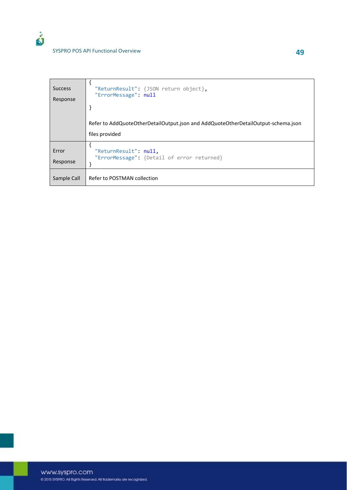| <b>Success</b> | "ReturnResult": {JSON return object},                                                               |
|----------------|-----------------------------------------------------------------------------------------------------|
| Response       | "ErrorMessage": null                                                                                |
|                | Refer to AddQuoteOtherDetailOutput.json and AddQuoteOtherDetailOutput-schema.json<br>files provided |
| Error          | "ReturnResult": null,                                                                               |
| Response       | "ErrorMessage": {Detail of error returned}                                                          |
| Sample Call    | Refer to POSTMAN collection                                                                         |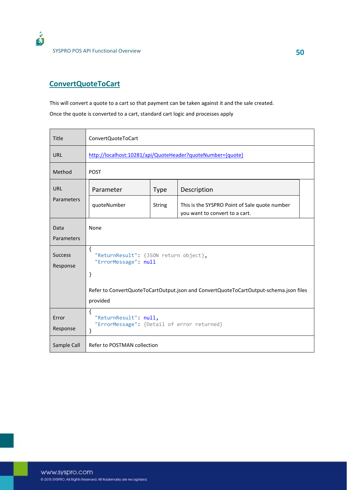

SYSPRO POS API Functional Overview **50**

#### **ConvertQuoteToCart**

This will convert a quote to a cart so that payment can be taken against it and the sale created.

Once the quote is converted to a cart, standard cart logic and processes apply

| Title                      | ConvertQuoteToCart                                                                                |               |                                                                                 |  |  |
|----------------------------|---------------------------------------------------------------------------------------------------|---------------|---------------------------------------------------------------------------------|--|--|
| <b>URL</b>                 | http://localhost:10281/api/QuoteHeader?quoteNumber={quote}                                        |               |                                                                                 |  |  |
| Method                     | <b>POST</b>                                                                                       |               |                                                                                 |  |  |
| <b>URL</b><br>Parameters   | Parameter                                                                                         | <b>Type</b>   | Description                                                                     |  |  |
|                            | quoteNumber                                                                                       | <b>String</b> | This is the SYSPRO Point of Sale quote number<br>you want to convert to a cart. |  |  |
| Data<br>Parameters         | None                                                                                              |               |                                                                                 |  |  |
| <b>Success</b><br>Response | $\{$<br>"ReturnResult": {JSON return object},<br>"ErrorMessage": null<br>}                        |               |                                                                                 |  |  |
|                            | Refer to ConvertQuoteToCartOutput.json and ConvertQuoteToCartOutput-schema.json files<br>provided |               |                                                                                 |  |  |
| Error<br>Response          | $\{$<br>"ReturnResult": null,<br>"ErrorMessage": {Detail of error returned}<br>}                  |               |                                                                                 |  |  |
| Sample Call                | Refer to POSTMAN collection                                                                       |               |                                                                                 |  |  |